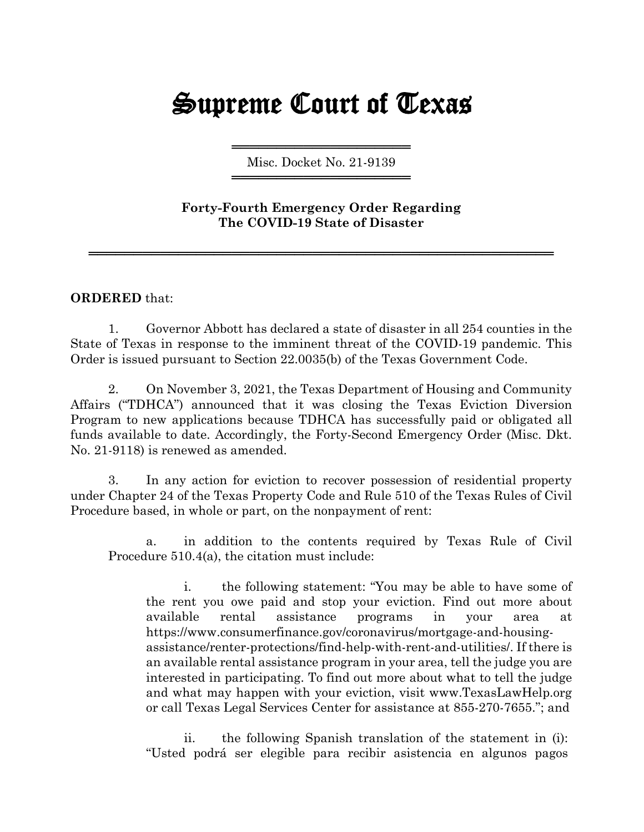## Supreme Court of Texas

════════════════════ Misc. Docket No. 21-9139 ════════════════════

## **Forty-Fourth Emergency Order Regarding The COVID-19 State of Disaster**

════════════════════════════════════════════════════

## **ORDERED** that:

1. Governor Abbott has declared a state of disaster in all 254 counties in the State of Texas in response to the imminent threat of the COVID-19 pandemic. This Order is issued pursuant to Section 22.0035(b) of the Texas Government Code.

2. On November 3, 2021, the Texas Department of Housing and Community Affairs ("TDHCA") announced that it was closing the Texas Eviction Diversion Program to new applications because TDHCA has successfully paid or obligated all funds available to date. Accordingly, the Forty-Second Emergency Order (Misc. Dkt. No. 21-9118) is renewed as amended.

3. In any action for eviction to recover possession of residential property under Chapter 24 of the Texas Property Code and Rule 510 of the Texas Rules of Civil Procedure based, in whole or part, on the nonpayment of rent:

a. in addition to the contents required by Texas Rule of Civil Procedure 510.4(a), the citation must include:

i. the following statement: "You may be able to have some of the rent you owe paid and stop your eviction. Find out more about available rental assistance programs in your area at https://www.consumerfinance.gov/coronavirus/mortgage-and-housingassistance/renter-protections/find-help-with-rent-and-utilities/. If there is an available rental assistance program in your area, tell the judge you are interested in participating. To find out more about what to tell the judge and what may happen with your eviction, visit www.TexasLawHelp.org or call Texas Legal Services Center for assistance at 855-270-7655."; and

ii. the following Spanish translation of the statement in (i): "Usted podrá ser elegible para recibir asistencia en algunos pagos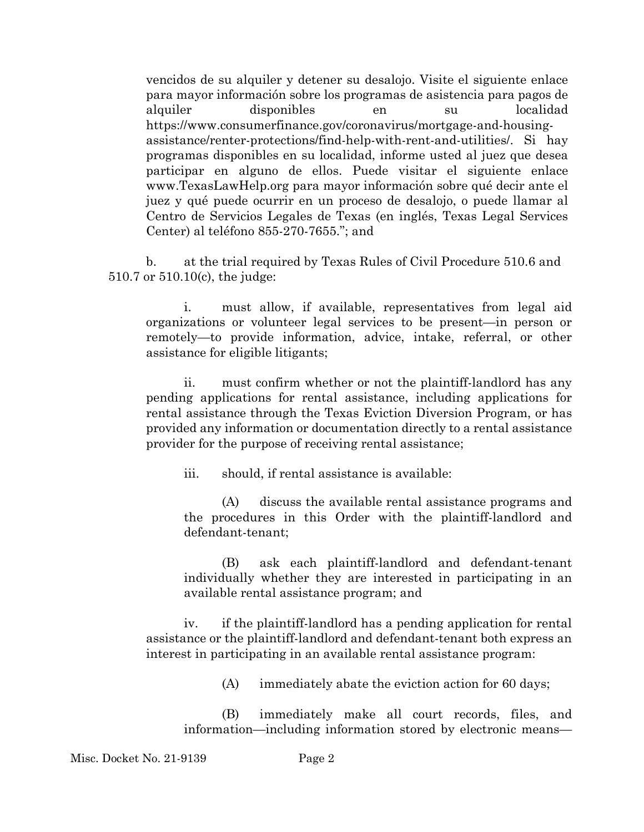vencidos de su alquiler y detener su desalojo. Visite el siguiente enlace para mayor información sobre los programas de asistencia para pagos de alquiler disponibles en su localidad https://www.consumerfinance.gov/coronavirus/mortgage-and-housingassistance/renter-protections/find-help-with-rent-and-utilities/. Si hay programas disponibles en su localidad, informe usted al juez que desea participar en alguno de ellos. Puede visitar el siguiente enlace www.TexasLawHelp.org para mayor información sobre qué decir ante el juez y qué puede ocurrir en un proceso de desalojo, o puede llamar al Centro de Servicios Legales de Texas (en inglés, Texas Legal Services Center) al teléfono 855-270-7655."; and

b. at the trial required by Texas Rules of Civil Procedure 510.6 and 510.7 or 510.10(c), the judge:

i. must allow, if available, representatives from legal aid organizations or volunteer legal services to be present—in person or remotely—to provide information, advice, intake, referral, or other assistance for eligible litigants;

ii. must confirm whether or not the plaintiff-landlord has any pending applications for rental assistance, including applications for rental assistance through the Texas Eviction Diversion Program, or has provided any information or documentation directly to a rental assistance provider for the purpose of receiving rental assistance;

iii. should, if rental assistance is available:

(A) discuss the available rental assistance programs and the procedures in this Order with the plaintiff-landlord and defendant-tenant;

(B) ask each plaintiff-landlord and defendant-tenant individually whether they are interested in participating in an available rental assistance program; and

iv. if the plaintiff-landlord has a pending application for rental assistance or the plaintiff-landlord and defendant-tenant both express an interest in participating in an available rental assistance program:

(A) immediately abate the eviction action for 60 days;

(B) immediately make all court records, files, and information—including information stored by electronic means—

Misc. Docket No. 21-9139 Page 2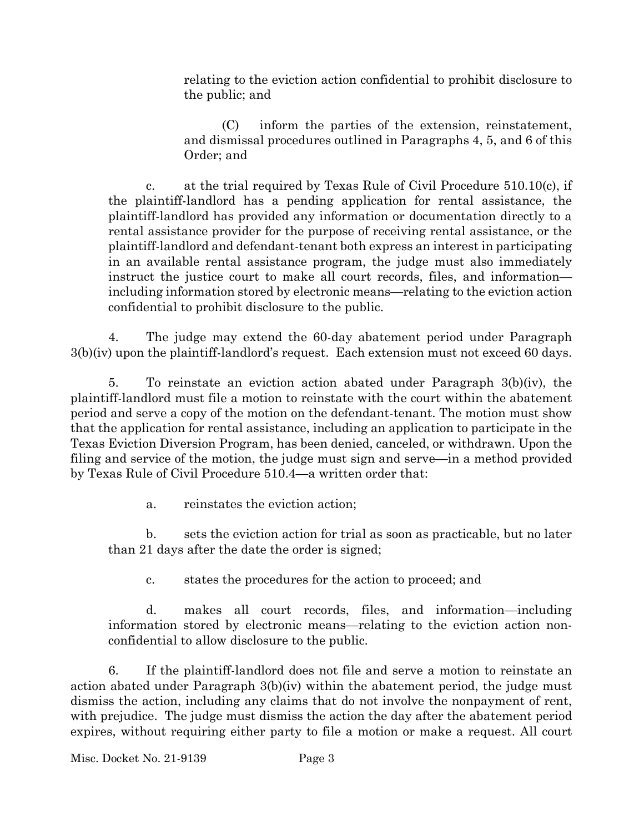relating to the eviction action confidential to prohibit disclosure to the public; and

(C) inform the parties of the extension, reinstatement, and dismissal procedures outlined in Paragraphs 4, 5, and 6 of this Order; and

c. at the trial required by Texas Rule of Civil Procedure  $510.10(c)$ , if the plaintiff-landlord has a pending application for rental assistance, the plaintiff-landlord has provided any information or documentation directly to a rental assistance provider for the purpose of receiving rental assistance, or the plaintiff-landlord and defendant-tenant both express an interest in participating in an available rental assistance program, the judge must also immediately instruct the justice court to make all court records, files, and information including information stored by electronic means—relating to the eviction action confidential to prohibit disclosure to the public.

4. The judge may extend the 60-day abatement period under Paragraph 3(b)(iv) upon the plaintiff-landlord's request. Each extension must not exceed 60 days.

5. To reinstate an eviction action abated under Paragraph 3(b)(iv), the plaintiff-landlord must file a motion to reinstate with the court within the abatement period and serve a copy of the motion on the defendant-tenant. The motion must show that the application for rental assistance, including an application to participate in the Texas Eviction Diversion Program, has been denied, canceled, or withdrawn. Upon the filing and service of the motion, the judge must sign and serve—in a method provided by Texas Rule of Civil Procedure 510.4—a written order that:

a. reinstates the eviction action;

b. sets the eviction action for trial as soon as practicable, but no later than 21 days after the date the order is signed;

c. states the procedures for the action to proceed; and

d. makes all court records, files, and information—including information stored by electronic means—relating to the eviction action nonconfidential to allow disclosure to the public.

6. If the plaintiff-landlord does not file and serve a motion to reinstate an action abated under Paragraph 3(b)(iv) within the abatement period, the judge must dismiss the action, including any claims that do not involve the nonpayment of rent, with prejudice. The judge must dismiss the action the day after the abatement period expires, without requiring either party to file a motion or make a request. All court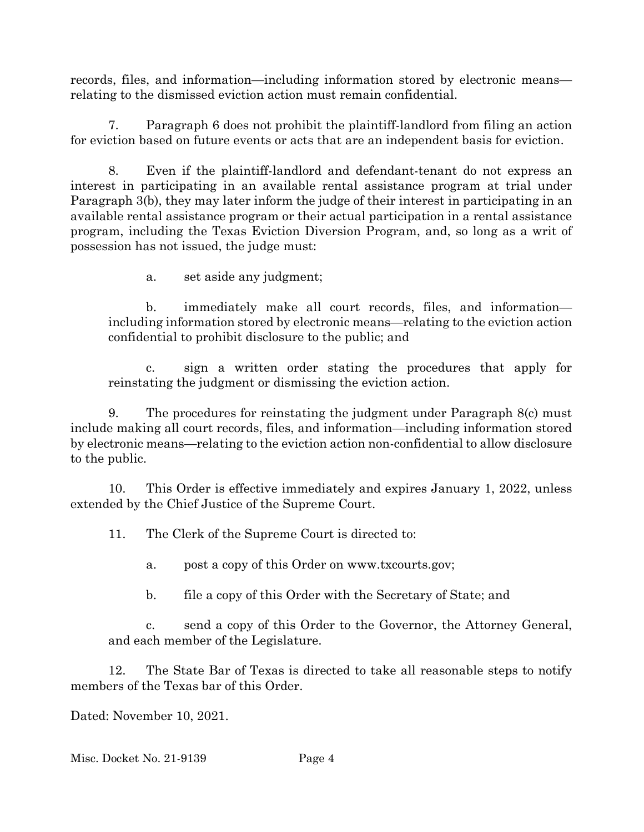records, files, and information—including information stored by electronic means relating to the dismissed eviction action must remain confidential.

7. Paragraph 6 does not prohibit the plaintiff-landlord from filing an action for eviction based on future events or acts that are an independent basis for eviction.

8. Even if the plaintiff-landlord and defendant-tenant do not express an interest in participating in an available rental assistance program at trial under Paragraph 3(b), they may later inform the judge of their interest in participating in an available rental assistance program or their actual participation in a rental assistance program, including the Texas Eviction Diversion Program, and, so long as a writ of possession has not issued, the judge must:

a. set aside any judgment;

b. immediately make all court records, files, and information including information stored by electronic means—relating to the eviction action confidential to prohibit disclosure to the public; and

c. sign a written order stating the procedures that apply for reinstating the judgment or dismissing the eviction action.

9. The procedures for reinstating the judgment under Paragraph 8(c) must include making all court records, files, and information—including information stored by electronic means—relating to the eviction action non-confidential to allow disclosure to the public.

10. This Order is effective immediately and expires January 1, 2022, unless extended by the Chief Justice of the Supreme Court.

11. The Clerk of the Supreme Court is directed to:

a. post a copy of this Order on www.txcourts.gov;

b. file a copy of this Order with the Secretary of State; and

c. send a copy of this Order to the Governor, the Attorney General, and each member of the Legislature.

12. The State Bar of Texas is directed to take all reasonable steps to notify members of the Texas bar of this Order.

Dated: November 10, 2021.

Misc. Docket No. 21-9139 Page 4